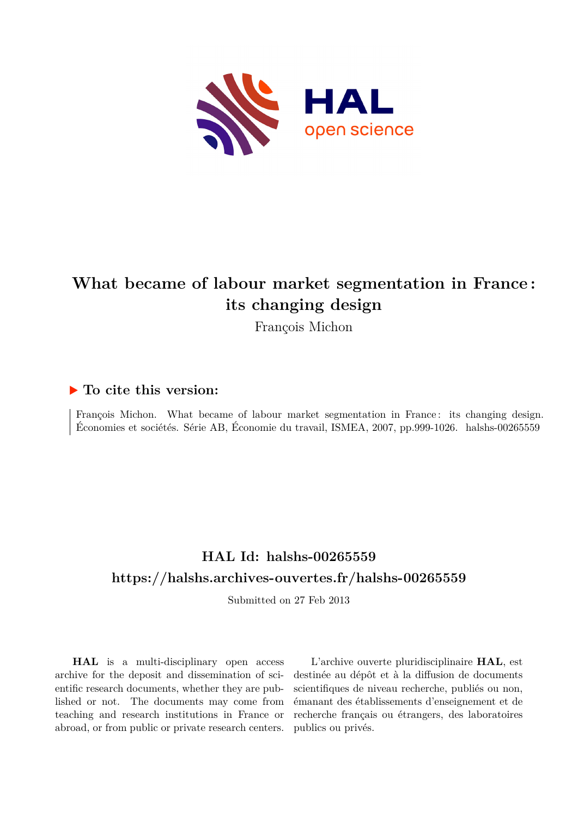

# **What became of labour market segmentation in France : its changing design**

François Michon

## **To cite this version:**

François Michon. What became of labour market segmentation in France: its changing design. Économies et sociétés. Série AB, Économie du travail, ISMEA, 2007, pp.999-1026. halshs-00265559

## **HAL Id: halshs-00265559 <https://halshs.archives-ouvertes.fr/halshs-00265559>**

Submitted on 27 Feb 2013

**HAL** is a multi-disciplinary open access archive for the deposit and dissemination of scientific research documents, whether they are published or not. The documents may come from teaching and research institutions in France or abroad, or from public or private research centers.

L'archive ouverte pluridisciplinaire **HAL**, est destinée au dépôt et à la diffusion de documents scientifiques de niveau recherche, publiés ou non, émanant des établissements d'enseignement et de recherche français ou étrangers, des laboratoires publics ou privés.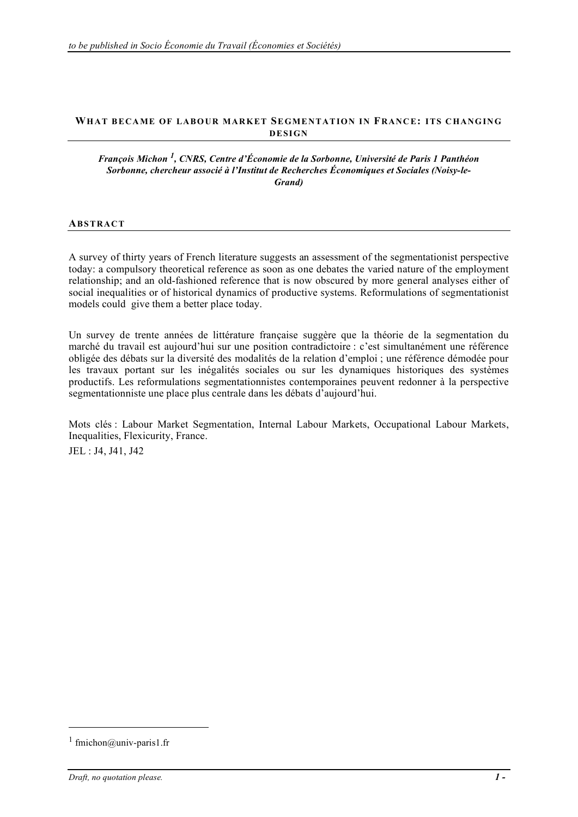#### **WH AT B ECA ME OF LABO UR MAR KET SE GME NTAT ION IN FRANC E: ITS C HANG IN G DESIGN**

#### *François Michon <sup>1</sup> , CNRS, Centre d'Économie de la Sorbonne, Université de Paris 1 Panthéon Sorbonne, chercheur associé à l'Institut de Recherches Économiques et Sociales (Noisy-le-Grand)*

#### **ABS TRAC T**

A survey of thirty years of French literature suggests an assessment of the segmentationist perspective today: a compulsory theoretical reference as soon as one debates the varied nature of the employment relationship; and an old-fashioned reference that is now obscured by more general analyses either of social inequalities or of historical dynamics of productive systems. Reformulations of segmentationist models could give them a better place today.

Un survey de trente années de littérature française suggère que la théorie de la segmentation du marché du travail est aujourd'hui sur une position contradictoire : c'est simultanément une référence obligée des débats sur la diversité des modalités de la relation d'emploi ; une référence démodée pour les travaux portant sur les inégalités sociales ou sur les dynamiques historiques des systèmes productifs. Les reformulations segmentationnistes contemporaines peuvent redonner à la perspective segmentationniste une place plus centrale dans les débats d'aujourd'hui.

Mots clés : Labour Market Segmentation, Internal Labour Markets, Occupational Labour Markets, Inequalities, Flexicurity, France.

JEL : J4, J41, J42

-

<sup>&</sup>lt;sup>1</sup> fmichon@univ-paris1.fr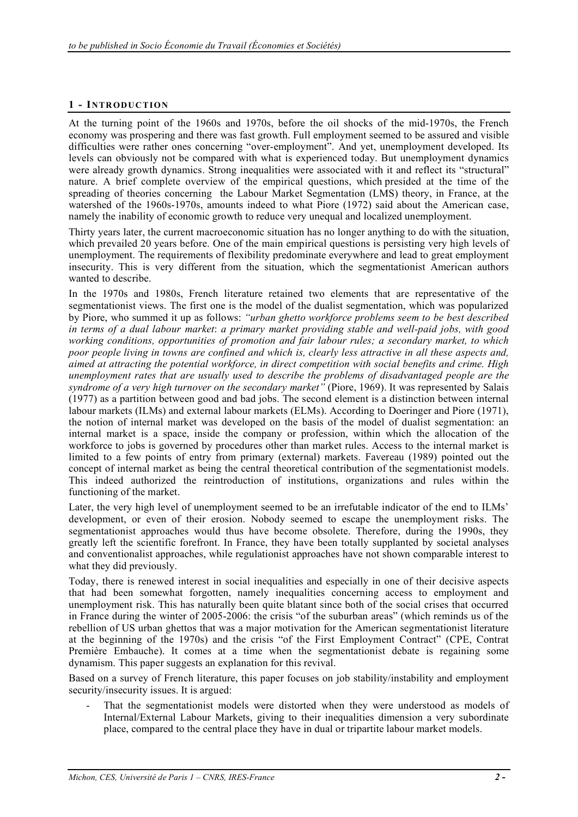## **1 - INTR ODUC TION**

At the turning point of the 1960s and 1970s, before the oil shocks of the mid-1970s, the French economy was prospering and there was fast growth. Full employment seemed to be assured and visible difficulties were rather ones concerning "over-employment". And yet, unemployment developed. Its levels can obviously not be compared with what is experienced today. But unemployment dynamics were already growth dynamics. Strong inequalities were associated with it and reflect its "structural" nature. A brief complete overview of the empirical questions, which presided at the time of the spreading of theories concerning the Labour Market Segmentation (LMS) theory, in France, at the watershed of the 1960s-1970s, amounts indeed to what Piore (1972) said about the American case, namely the inability of economic growth to reduce very unequal and localized unemployment.

Thirty years later, the current macroeconomic situation has no longer anything to do with the situation, which prevailed 20 years before. One of the main empirical questions is persisting very high levels of unemployment. The requirements of flexibility predominate everywhere and lead to great employment insecurity. This is very different from the situation, which the segmentationist American authors wanted to describe.

In the 1970s and 1980s, French literature retained two elements that are representative of the segmentationist views. The first one is the model of the dualist segmentation, which was popularized by Piore, who summed it up as follows: *"urban ghetto workforce problems seem to be best described in terms of a dual labour market*: *a primary market providing stable and well-paid jobs, with good working conditions, opportunities of promotion and fair labour rules; a secondary market, to which poor people living in towns are confined and which is, clearly less attractive in all these aspects and, aimed at attracting the potential workforce, in direct competition with social benefits and crime. High unemployment rates that are usually used to describe the problems of disadvantaged people are the syndrome of a very high turnover on the secondary market"* (Piore, 1969). It was represented by Salais (1977) as a partition between good and bad jobs. The second element is a distinction between internal labour markets (ILMs) and external labour markets (ELMs). According to Doeringer and Piore (1971), the notion of internal market was developed on the basis of the model of dualist segmentation: an internal market is a space, inside the company or profession, within which the allocation of the workforce to jobs is governed by procedures other than market rules. Access to the internal market is limited to a few points of entry from primary (external) markets. Favereau (1989) pointed out the concept of internal market as being the central theoretical contribution of the segmentationist models. This indeed authorized the reintroduction of institutions, organizations and rules within the functioning of the market.

Later, the very high level of unemployment seemed to be an irrefutable indicator of the end to ILMs' development, or even of their erosion. Nobody seemed to escape the unemployment risks. The segmentationist approaches would thus have become obsolete. Therefore, during the 1990s, they greatly left the scientific forefront. In France, they have been totally supplanted by societal analyses and conventionalist approaches, while regulationist approaches have not shown comparable interest to what they did previously.

Today, there is renewed interest in social inequalities and especially in one of their decisive aspects that had been somewhat forgotten, namely inequalities concerning access to employment and unemployment risk. This has naturally been quite blatant since both of the social crises that occurred in France during the winter of 2005-2006: the crisis "of the suburban areas" (which reminds us of the rebellion of US urban ghettos that was a major motivation for the American segmentationist literature at the beginning of the 1970s) and the crisis "of the First Employment Contract" (CPE, Contrat Première Embauche). It comes at a time when the segmentationist debate is regaining some dynamism. This paper suggests an explanation for this revival.

Based on a survey of French literature, this paper focuses on job stability/instability and employment security/insecurity issues. It is argued:

That the segmentationist models were distorted when they were understood as models of Internal/External Labour Markets, giving to their inequalities dimension a very subordinate place, compared to the central place they have in dual or tripartite labour market models.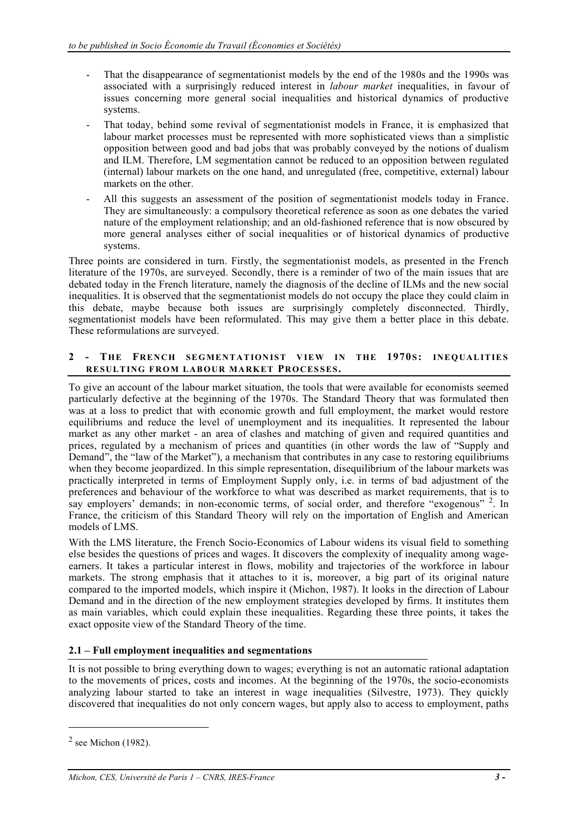- That the disappearance of segmentationist models by the end of the 1980s and the 1990s was associated with a surprisingly reduced interest in *labour market* inequalities, in favour of issues concerning more general social inequalities and historical dynamics of productive systems.
- That today, behind some revival of segmentationist models in France, it is emphasized that labour market processes must be represented with more sophisticated views than a simplistic opposition between good and bad jobs that was probably conveyed by the notions of dualism and ILM. Therefore, LM segmentation cannot be reduced to an opposition between regulated (internal) labour markets on the one hand, and unregulated (free, competitive, external) labour markets on the other.
- All this suggests an assessment of the position of segmentationist models today in France. They are simultaneously: a compulsory theoretical reference as soon as one debates the varied nature of the employment relationship; and an old-fashioned reference that is now obscured by more general analyses either of social inequalities or of historical dynamics of productive systems.

Three points are considered in turn. Firstly, the segmentationist models, as presented in the French literature of the 1970s, are surveyed. Secondly, there is a reminder of two of the main issues that are debated today in the French literature, namely the diagnosis of the decline of ILMs and the new social inequalities. It is observed that the segmentationist models do not occupy the place they could claim in this debate, maybe because both issues are surprisingly completely disconnected. Thirdly, segmentationist models have been reformulated. This may give them a better place in this debate. These reformulations are surveyed.

#### **2 - THE FREN CH SEG MEN TAT ION IST V IE W IN THE 1970S : INEQ UAL IT IE S RESULT ING FR OM LAB OUR MA RKET PR OCES SES.**

To give an account of the labour market situation, the tools that were available for economists seemed particularly defective at the beginning of the 1970s. The Standard Theory that was formulated then was at a loss to predict that with economic growth and full employment, the market would restore equilibriums and reduce the level of unemployment and its inequalities. It represented the labour market as any other market - an area of clashes and matching of given and required quantities and prices, regulated by a mechanism of prices and quantities (in other words the law of "Supply and Demand", the "law of the Market"), a mechanism that contributes in any case to restoring equilibriums when they become jeopardized. In this simple representation, disequilibrium of the labour markets was practically interpreted in terms of Employment Supply only, i.e. in terms of bad adjustment of the preferences and behaviour of the workforce to what was described as market requirements, that is to say employers' demands; in non-economic terms, of social order, and therefore "exogenous" <sup>2</sup>. In France, the criticism of this Standard Theory will rely on the importation of English and American models of LMS.

With the LMS literature, the French Socio-Economics of Labour widens its visual field to something else besides the questions of prices and wages. It discovers the complexity of inequality among wageearners. It takes a particular interest in flows, mobility and trajectories of the workforce in labour markets. The strong emphasis that it attaches to it is, moreover, a big part of its original nature compared to the imported models, which inspire it (Michon, 1987). It looks in the direction of Labour Demand and in the direction of the new employment strategies developed by firms. It institutes them as main variables, which could explain these inequalities. Regarding these three points, it takes the exact opposite view of the Standard Theory of the time.

## **2.1 – Full employment inequalities and segmentations**

It is not possible to bring everything down to wages; everything is not an automatic rational adaptation to the movements of prices, costs and incomes. At the beginning of the 1970s, the socio-economists analyzing labour started to take an interest in wage inequalities (Silvestre, 1973). They quickly discovered that inequalities do not only concern wages, but apply also to access to employment, paths

-

 $<sup>2</sup>$  see Michon (1982).</sup>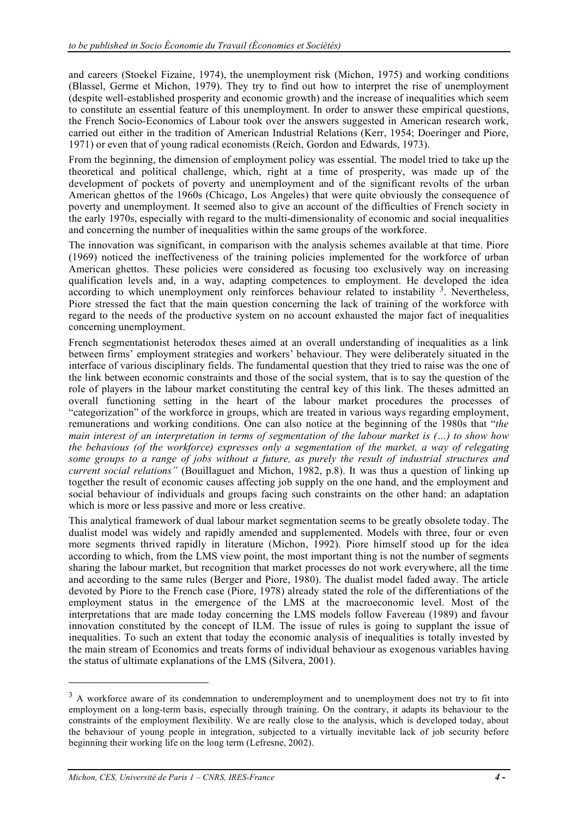and careers (Stoekel Fizaine, 1974), the unemployment risk (Michon, 1975) and working conditions (Blassel, Germe et Michon, 1979). They try to find out how to interpret the rise of unemployment (despite well-established prosperity and economic growth) and the increase of inequalities which seem to constitute an essential feature of this unemployment. In order to answer these empirical questions, the French Socio-Economics of Labour took over the answers suggested in American research work, carried out either in the tradition of American Industrial Relations (Kerr, 1954; Doeringer and Piore, 1971) or even that of young radical economists (Reich, Gordon and Edwards, 1973).

From the beginning, the dimension of employment policy was essential. The model tried to take up the theoretical and political challenge, which, right at a time of prosperity, was made up of the development of pockets of poverty and unemployment and of the significant revolts of the urban American ghettos of the 1960s (Chicago, Los Angeles) that were quite obviously the consequence of poverty and unemployment. It seemed also to give an account of the difficulties of French society in the early 1970s, especially with regard to the multi-dimensionality of economic and social inequalities and concerning the number of inequalities within the same groups of the workforce.

The innovation was significant, in comparison with the analysis schemes available at that time. Piore (1969) noticed the ineffectiveness of the training policies implemented for the workforce of urban American ghettos. These policies were considered as focusing too exclusively way on increasing qualification levels and, in a way, adapting competences to employment. He developed the idea according to which unemployment only reinforces behaviour related to instability <sup>3</sup>. Nevertheless, Piore stressed the fact that the main question concerning the lack of training of the workforce with regard to the needs of the productive system on no account exhausted the major fact of inequalities concerning unemployment.

French segmentationist heterodox theses aimed at an overall understanding of inequalities as a link between firms' employment strategies and workers' behaviour. They were deliberately situated in the interface of various disciplinary fields. The fundamental question that they tried to raise was the one of the link between economic constraints and those of the social system, that is to say the question of the role of players in the labour market constituting the central key of this link. The theses admitted an overall functioning setting in the heart of the labour market procedures the processes of "categorization" of the workforce in groups, which are treated in various ways regarding employment, remunerations and working conditions. One can also notice at the beginning of the 1980s that "*the main interest of an interpretation in terms of segmentation of the labour market is (…) to show how the behavious (of the workforce) expresses only a segmentation of the market, a way of relegating some groups to a range of jobs without a future, as purely the result of industrial structures and current social relations"* (Bouillaguet and Michon, 1982, p.8). It was thus a question of linking up together the result of economic causes affecting job supply on the one hand, and the employment and social behaviour of individuals and groups facing such constraints on the other hand: an adaptation which is more or less passive and more or less creative.

This analytical framework of dual labour market segmentation seems to be greatly obsolete today. The dualist model was widely and rapidly amended and supplemented. Models with three, four or even more segments thrived rapidly in literature (Michon, 1992). Piore himself stood up for the idea according to which, from the LMS view point, the most important thing is not the number of segments sharing the labour market, but recognition that market processes do not work everywhere, all the time and according to the same rules (Berger and Piore, 1980). The dualist model faded away. The article devoted by Piore to the French case (Piore, 1978) already stated the role of the differentiations of the employment status in the emergence of the LMS at the macroeconomic level. Most of the interpretations that are made today concerning the LMS models follow Favereau (1989) and favour innovation constituted by the concept of ILM. The issue of rules is going to supplant the issue of inequalities. To such an extent that today the economic analysis of inequalities is totally invested by the main stream of Economics and treats forms of individual behaviour as exogenous variables having the status of ultimate explanations of the LMS (Silvera, 2001).

-

 $3$  A workforce aware of its condemnation to underemployment and to unemployment does not try to fit into employment on a long-term basis, especially through training. On the contrary, it adapts its behaviour to the constraints of the employment flexibility. We are really close to the analysis, which is developed today, about the behaviour of young people in integration, subjected to a virtually inevitable lack of job security before beginning their working life on the long term (Lefresne, 2002).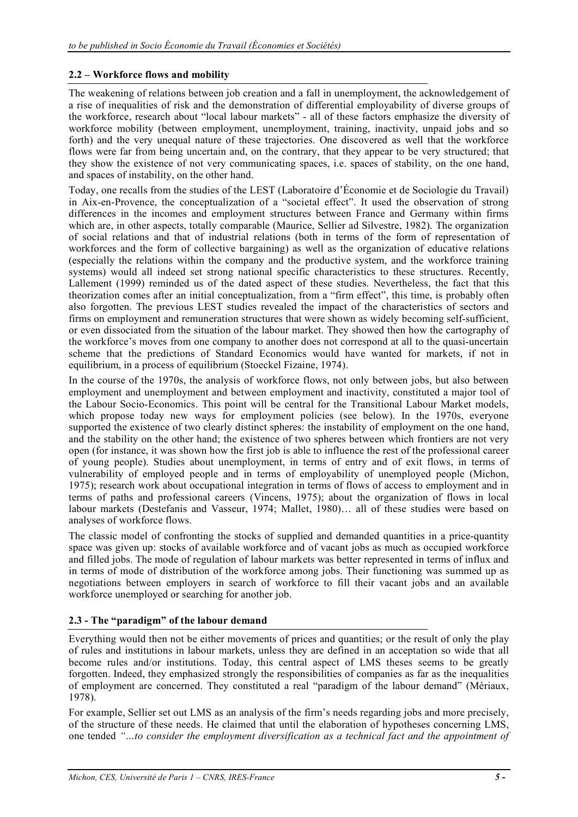## **2.2 – Workforce flows and mobility**

The weakening of relations between job creation and a fall in unemployment, the acknowledgement of a rise of inequalities of risk and the demonstration of differential employability of diverse groups of the workforce, research about "local labour markets" - all of these factors emphasize the diversity of workforce mobility (between employment, unemployment, training, inactivity, unpaid jobs and so forth) and the very unequal nature of these trajectories. One discovered as well that the workforce flows were far from being uncertain and, on the contrary, that they appear to be very structured; that they show the existence of not very communicating spaces, i.e. spaces of stability, on the one hand, and spaces of instability, on the other hand.

Today, one recalls from the studies of the LEST (Laboratoire d'Économie et de Sociologie du Travail) in Aix-en-Provence, the conceptualization of a "societal effect". It used the observation of strong differences in the incomes and employment structures between France and Germany within firms which are, in other aspects, totally comparable (Maurice, Sellier ad Silvestre, 1982). The organization of social relations and that of industrial relations (both in terms of the form of representation of workforces and the form of collective bargaining) as well as the organization of educative relations (especially the relations within the company and the productive system, and the workforce training systems) would all indeed set strong national specific characteristics to these structures. Recently, Lallement (1999) reminded us of the dated aspect of these studies. Nevertheless, the fact that this theorization comes after an initial conceptualization, from a "firm effect", this time, is probably often also forgotten. The previous LEST studies revealed the impact of the characteristics of sectors and firms on employment and remuneration structures that were shown as widely becoming self-sufficient, or even dissociated from the situation of the labour market. They showed then how the cartography of the workforce's moves from one company to another does not correspond at all to the quasi-uncertain scheme that the predictions of Standard Economics would have wanted for markets, if not in equilibrium, in a process of equilibrium (Stoeckel Fizaine, 1974).

In the course of the 1970s, the analysis of workforce flows, not only between jobs, but also between employment and unemployment and between employment and inactivity, constituted a major tool of the Labour Socio-Economics. This point will be central for the Transitional Labour Market models, which propose today new ways for employment policies (see below). In the 1970s, everyone supported the existence of two clearly distinct spheres: the instability of employment on the one hand, and the stability on the other hand; the existence of two spheres between which frontiers are not very open (for instance, it was shown how the first job is able to influence the rest of the professional career of young people). Studies about unemployment, in terms of entry and of exit flows, in terms of vulnerability of employed people and in terms of employability of unemployed people (Michon, 1975); research work about occupational integration in terms of flows of access to employment and in terms of paths and professional careers (Vincens, 1975); about the organization of flows in local labour markets (Destefanis and Vasseur, 1974; Mallet, 1980)… all of these studies were based on analyses of workforce flows.

The classic model of confronting the stocks of supplied and demanded quantities in a price-quantity space was given up: stocks of available workforce and of vacant jobs as much as occupied workforce and filled jobs. The mode of regulation of labour markets was better represented in terms of influx and in terms of mode of distribution of the workforce among jobs. Their functioning was summed up as negotiations between employers in search of workforce to fill their vacant jobs and an available workforce unemployed or searching for another job.

## **2.3 - The "paradigm" of the labour demand**

Everything would then not be either movements of prices and quantities; or the result of only the play of rules and institutions in labour markets, unless they are defined in an acceptation so wide that all become rules and/or institutions. Today, this central aspect of LMS theses seems to be greatly forgotten. Indeed, they emphasized strongly the responsibilities of companies as far as the inequalities of employment are concerned. They constituted a real "paradigm of the labour demand" (Mériaux, 1978).

For example, Sellier set out LMS as an analysis of the firm's needs regarding jobs and more precisely, of the structure of these needs. He claimed that until the elaboration of hypotheses concerning LMS, one tended *"…to consider the employment diversification as a technical fact and the appointment of*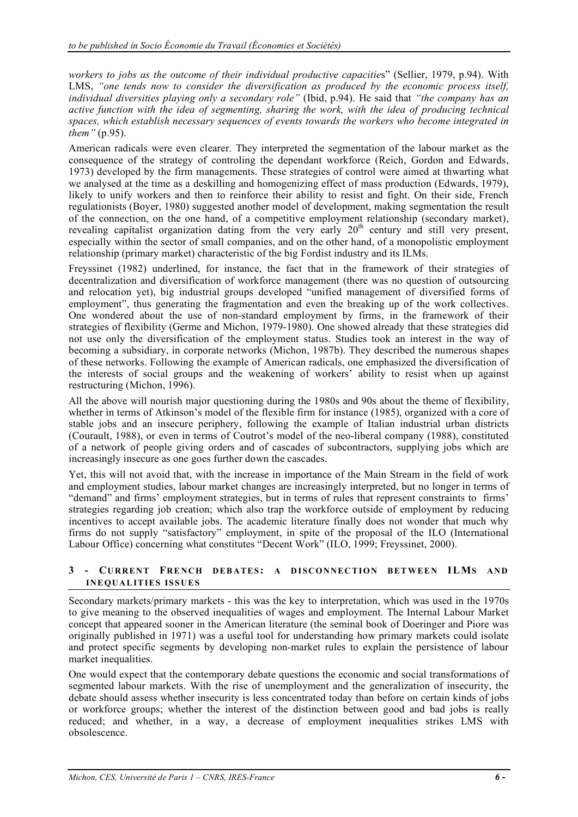*workers to jobs as the outcome of their individual productive capacitie*s" (Sellier, 1979, p.94). With LMS, "one tends now to consider the diversification as produced by the economic process itself, *individual diversities playing only a secondary role"* (Ibid, p.94). He said that *"the company has an active function with the idea of segmenting, sharing the work, with the idea of producing technical spaces, which establish necessary sequences of events towards the workers who become integrated in them"* (p.95).

American radicals were even clearer. They interpreted the segmentation of the labour market as the consequence of the strategy of controling the dependant workforce (Reich, Gordon and Edwards, 1973) developed by the firm managements. These strategies of control were aimed at thwarting what we analysed at the time as a deskilling and homogenizing effect of mass production (Edwards, 1979), likely to unify workers and then to reinforce their ability to resist and fight. On their side, French regulationists (Boyer, 1980) suggested another model of development, making segmentation the result of the connection, on the one hand, of a competitive employment relationship (secondary market), revealing capitalist organization dating from the very early 20<sup>th</sup> century and still very present, especially within the sector of small companies, and on the other hand, of a monopolistic employment relationship (primary market) characteristic of the big Fordist industry and its ILMs.

Freyssinet (1982) underlined, for instance, the fact that in the framework of their strategies of decentralization and diversification of workforce management (there was no question of outsourcing and relocation yet), big industrial groups developed "unified management of diversified forms of employment", thus generating the fragmentation and even the breaking up of the work collectives. One wondered about the use of non-standard employment by firms, in the framework of their strategies of flexibility (Germe and Michon, 1979-1980). One showed already that these strategies did not use only the diversification of the employment status. Studies took an interest in the way of becoming a subsidiary, in corporate networks (Michon, 1987b). They described the numerous shapes of these networks. Following the example of American radicals, one emphasized the diversification of the interests of social groups and the weakening of workers' ability to resist when up against restructuring (Michon, 1996).

All the above will nourish major questioning during the 1980s and 90s about the theme of flexibility, whether ìn terms of Atkinson's model of the flexible firm for instance (1985), organized with a core of stable jobs and an insecure periphery, following the example of Italian industrial urban districts (Courault, 1988), or even in terms of Coutrot's model of the neo-liberal company (1988), constituted of a network of people giving orders and of cascades of subcontractors, supplying jobs which are increasingly insecure as one goes further down the cascades.

Yet, this will not avoid that, with the increase in importance of the Main Stream in the field of work and employment studies, labour market changes are increasingly interpreted, but no longer in terms of "demand" and firms' employment strategies, but in terms of rules that represent constraints to firms' strategies regarding job creation; which also trap the workforce outside of employment by reducing incentives to accept available jobs. The academic literature finally does not wonder that much why firms do not supply "satisfactory" employment, in spite of the proposal of the ILO (International Labour Office) concerning what constitutes "Decent Work" (ILO, 1999; Freyssinet, 2000).

#### **3 - CU RRENT FRE NCH DEB ATES: A D ISCONNEC TION BET WEEN ILMS AND INE QUAL IT IES ISS UES**

Secondary markets/primary markets - this was the key to interpretation, which was used in the 1970s to give meaning to the observed inequalities of wages and employment. The Internal Labour Market concept that appeared sooner in the American literature (the seminal book of Doeringer and Piore was originally published in 1971) was a useful tool for understanding how primary markets could isolate and protect specific segments by developing non-market rules to explain the persistence of labour market inequalities.

One would expect that the contemporary debate questions the economic and social transformations of segmented labour markets. With the rise of unemployment and the generalization of insecurity, the debate should assess whether insecurity is less concentrated today than before on certain kinds of jobs or workforce groups; whether the interest of the distinction between good and bad jobs is really reduced; and whether, in a way, a decrease of employment inequalities strikes LMS with obsolescence.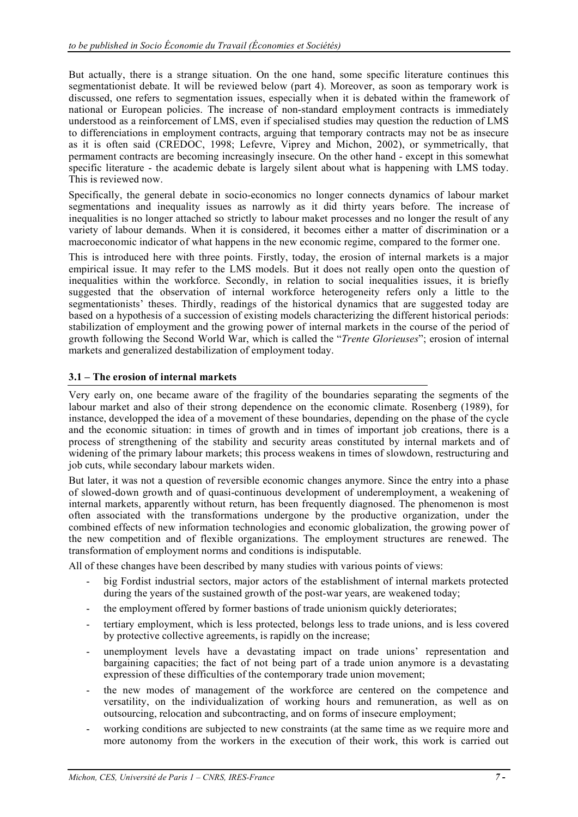But actually, there is a strange situation. On the one hand, some specific literature continues this segmentationist debate. It will be reviewed below (part 4). Moreover, as soon as temporary work is discussed, one refers to segmentation issues, especially when it is debated within the framework of national or European policies. The increase of non-standard employment contracts is immediately understood as a reinforcement of LMS, even if specialised studies may question the reduction of LMS to differenciations in employment contracts, arguing that temporary contracts may not be as insecure as it is often said (CREDOC, 1998; Lefevre, Viprey and Michon, 2002), or symmetrically, that permament contracts are becoming increasingly insecure. On the other hand - except in this somewhat specific literature - the academic debate is largely silent about what is happening with LMS today. This is reviewed now.

Specifically, the general debate in socio-economics no longer connects dynamics of labour market segmentations and inequality issues as narrowly as it did thirty years before. The increase of inequalities is no longer attached so strictly to labour maket processes and no longer the result of any variety of labour demands. When it is considered, it becomes either a matter of discrimination or a macroeconomic indicator of what happens in the new economic regime, compared to the former one.

This is introduced here with three points. Firstly, today, the erosion of internal markets is a major empirical issue. It may refer to the LMS models. But it does not really open onto the question of inequalities within the workforce. Secondly, in relation to social inequalities issues, it is briefly suggested that the observation of internal workforce heterogeneity refers only a little to the segmentationists' theses. Thirdly, readings of the historical dynamics that are suggested today are based on a hypothesis of a succession of existing models characterizing the different historical periods: stabilization of employment and the growing power of internal markets in the course of the period of growth following the Second World War, which is called the "*Trente Glorieuses*"; erosion of internal markets and generalized destabilization of employment today.

#### **3.1 – The erosion of internal markets**

Very early on, one became aware of the fragility of the boundaries separating the segments of the labour market and also of their strong dependence on the economic climate. Rosenberg (1989), for instance, developped the idea of a movement of these boundaries, depending on the phase of the cycle and the economic situation: in times of growth and in times of important job creations, there is a process of strengthening of the stability and security areas constituted by internal markets and of widening of the primary labour markets; this process weakens in times of slowdown, restructuring and job cuts, while secondary labour markets widen.

But later, it was not a question of reversible economic changes anymore. Since the entry into a phase of slowed-down growth and of quasi-continuous development of underemployment, a weakening of internal markets, apparently without return, has been frequently diagnosed. The phenomenon is most often associated with the transformations undergone by the productive organization, under the combined effects of new information technologies and economic globalization, the growing power of the new competition and of flexible organizations. The employment structures are renewed. The transformation of employment norms and conditions is indisputable.

All of these changes have been described by many studies with various points of views:

- big Fordist industrial sectors, major actors of the establishment of internal markets protected during the years of the sustained growth of the post-war years, are weakened today;
- the employment offered by former bastions of trade unionism quickly deteriorates;
- tertiary employment, which is less protected, belongs less to trade unions, and is less covered by protective collective agreements, is rapidly on the increase;
- unemployment levels have a devastating impact on trade unions' representation and bargaining capacities; the fact of not being part of a trade union anymore is a devastating expression of these difficulties of the contemporary trade union movement;
- the new modes of management of the workforce are centered on the competence and versatility, on the individualization of working hours and remuneration, as well as on outsourcing, relocation and subcontracting, and on forms of insecure employment;
- working conditions are subjected to new constraints (at the same time as we require more and more autonomy from the workers in the execution of their work, this work is carried out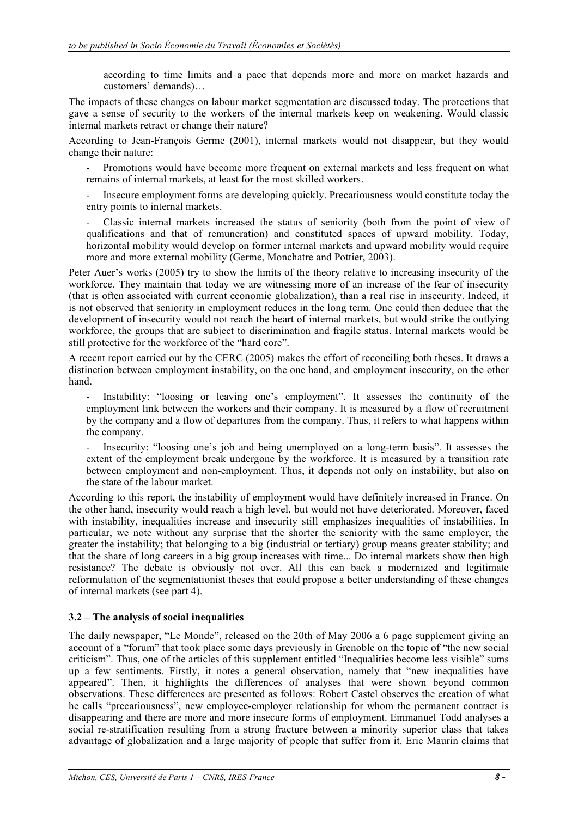according to time limits and a pace that depends more and more on market hazards and customers' demands)…

The impacts of these changes on labour market segmentation are discussed today. The protections that gave a sense of security to the workers of the internal markets keep on weakening. Would classic internal markets retract or change their nature?

According to Jean-François Germe (2001), internal markets would not disappear, but they would change their nature:

- Promotions would have become more frequent on external markets and less frequent on what remains of internal markets, at least for the most skilled workers.

- Insecure employment forms are developing quickly. Precariousness would constitute today the entry points to internal markets.

- Classic internal markets increased the status of seniority (both from the point of view of qualifications and that of remuneration) and constituted spaces of upward mobility. Today, horizontal mobility would develop on former internal markets and upward mobility would require more and more external mobility (Germe, Monchatre and Pottier, 2003).

Peter Auer's works (2005) try to show the limits of the theory relative to increasing insecurity of the workforce. They maintain that today we are witnessing more of an increase of the fear of insecurity (that is often associated with current economic globalization), than a real rise in insecurity. Indeed, it is not observed that seniority in employment reduces in the long term. One could then deduce that the development of insecurity would not reach the heart of internal markets, but would strike the outlying workforce, the groups that are subject to discrimination and fragile status. Internal markets would be still protective for the workforce of the "hard core".

A recent report carried out by the CERC (2005) makes the effort of reconciling both theses. It draws a distinction between employment instability, on the one hand, and employment insecurity, on the other hand.

Instability: "loosing or leaving one's employment". It assesses the continuity of the employment link between the workers and their company. It is measured by a flow of recruitment by the company and a flow of departures from the company. Thus, it refers to what happens within the company.

- Insecurity: "loosing one's job and being unemployed on a long-term basis". It assesses the extent of the employment break undergone by the workforce. It is measured by a transition rate between employment and non-employment. Thus, it depends not only on instability, but also on the state of the labour market.

According to this report, the instability of employment would have definitely increased in France. On the other hand, insecurity would reach a high level, but would not have deteriorated. Moreover, faced with instability, inequalities increase and insecurity still emphasizes inequalities of instabilities. In particular, we note without any surprise that the shorter the seniority with the same employer, the greater the instability; that belonging to a big (industrial or tertiary) group means greater stability; and that the share of long careers in a big group increases with time... Do internal markets show then high resistance? The debate is obviously not over. All this can back a modernized and legitimate reformulation of the segmentationist theses that could propose a better understanding of these changes of internal markets (see part 4).

## **3.2 – The analysis of social inequalities**

The daily newspaper, "Le Monde", released on the 20th of May 2006 a 6 page supplement giving an account of a "forum" that took place some days previously in Grenoble on the topic of "the new social criticism". Thus, one of the articles of this supplement entitled "Inequalities become less visible" sums up a few sentiments. Firstly, it notes a general observation, namely that "new inequalities have appeared". Then, it highlights the differences of analyses that were shown beyond common observations. These differences are presented as follows: Robert Castel observes the creation of what he calls "precariousness", new employee-employer relationship for whom the permanent contract is disappearing and there are more and more insecure forms of employment. Emmanuel Todd analyses a social re-stratification resulting from a strong fracture between a minority superior class that takes advantage of globalization and a large majority of people that suffer from it. Eric Maurin claims that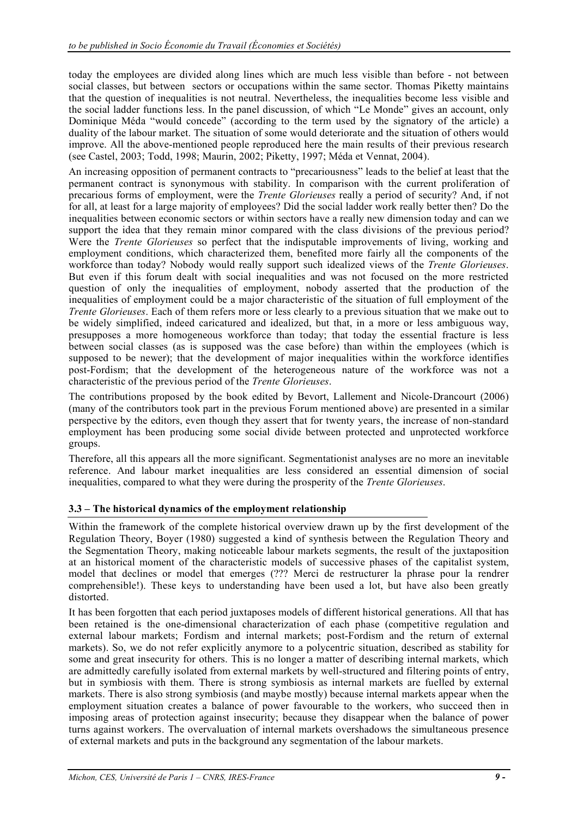today the employees are divided along lines which are much less visible than before - not between social classes, but between sectors or occupations within the same sector. Thomas Piketty maintains that the question of inequalities is not neutral. Nevertheless, the inequalities become less visible and the social ladder functions less. In the panel discussion, of which "Le Monde" gives an account, only Dominique Méda "would concede" (according to the term used by the signatory of the article) a duality of the labour market. The situation of some would deteriorate and the situation of others would improve. All the above-mentioned people reproduced here the main results of their previous research (see Castel, 2003; Todd, 1998; Maurin, 2002; Piketty, 1997; Méda et Vennat, 2004).

An increasing opposition of permanent contracts to "precariousness" leads to the belief at least that the permanent contract is synonymous with stability. In comparison with the current proliferation of precarious forms of employment, were the *Trente Glorieuses* really a period of security? And, if not for all, at least for a large majority of employees? Did the social ladder work really better then? Do the inequalities between economic sectors or within sectors have a really new dimension today and can we support the idea that they remain minor compared with the class divisions of the previous period? Were the *Trente Glorieuses* so perfect that the indisputable improvements of living, working and employment conditions, which characterized them, benefited more fairly all the components of the workforce than today? Nobody would really support such idealized views of the *Trente Glorieuses*. But even if this forum dealt with social inequalities and was not focused on the more restricted question of only the inequalities of employment, nobody asserted that the production of the inequalities of employment could be a major characteristic of the situation of full employment of the *Trente Glorieuses*. Each of them refers more or less clearly to a previous situation that we make out to be widely simplified, indeed caricatured and idealized, but that, in a more or less ambiguous way, presupposes a more homogeneous workforce than today; that today the essential fracture is less between social classes (as is supposed was the case before) than within the employees (which is supposed to be newer); that the development of major inequalities within the workforce identifies post-Fordism; that the development of the heterogeneous nature of the workforce was not a characteristic of the previous period of the *Trente Glorieuses*.

The contributions proposed by the book edited by Bevort, Lallement and Nicole-Drancourt (2006) (many of the contributors took part in the previous Forum mentioned above) are presented in a similar perspective by the editors, even though they assert that for twenty years, the increase of non-standard employment has been producing some social divide between protected and unprotected workforce groups.

Therefore, all this appears all the more significant. Segmentationist analyses are no more an inevitable reference. And labour market inequalities are less considered an essential dimension of social inequalities, compared to what they were during the prosperity of the *Trente Glorieuses*.

## **3.3 – The historical dynamics of the employment relationship**

Within the framework of the complete historical overview drawn up by the first development of the Regulation Theory, Boyer (1980) suggested a kind of synthesis between the Regulation Theory and the Segmentation Theory, making noticeable labour markets segments, the result of the juxtaposition at an historical moment of the characteristic models of successive phases of the capitalist system, model that declines or model that emerges (??? Merci de restructurer la phrase pour la rendrer comprehensible!). These keys to understanding have been used a lot, but have also been greatly distorted.

It has been forgotten that each period juxtaposes models of different historical generations. All that has been retained is the one-dimensional characterization of each phase (competitive regulation and external labour markets; Fordism and internal markets; post-Fordism and the return of external markets). So, we do not refer explicitly anymore to a polycentric situation, described as stability for some and great insecurity for others. This is no longer a matter of describing internal markets, which are admittedly carefully isolated from external markets by well-structured and filtering points of entry, but in symbiosis with them. There is strong symbiosis as internal markets are fuelled by external markets. There is also strong symbiosis (and maybe mostly) because internal markets appear when the employment situation creates a balance of power favourable to the workers, who succeed then in imposing areas of protection against insecurity; because they disappear when the balance of power turns against workers. The overvaluation of internal markets overshadows the simultaneous presence of external markets and puts in the background any segmentation of the labour markets.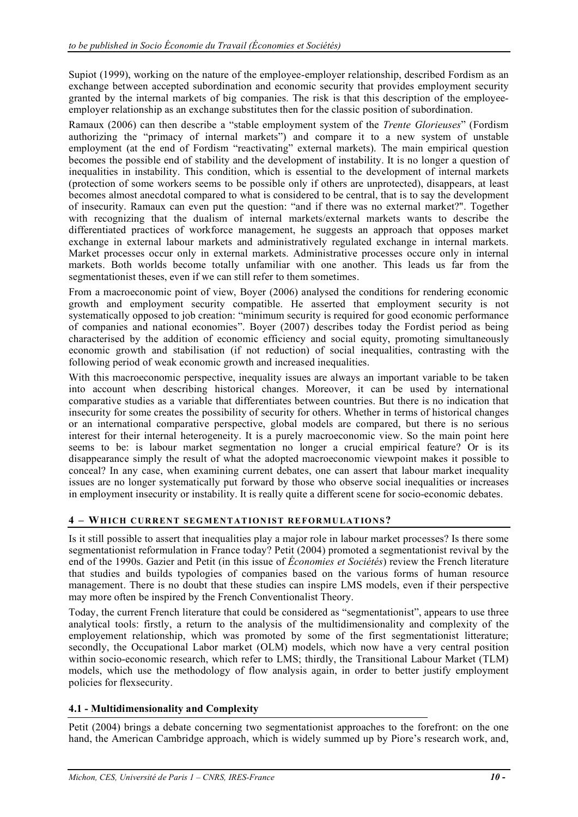Supiot (1999), working on the nature of the employee-employer relationship, described Fordism as an exchange between accepted subordination and economic security that provides employment security granted by the internal markets of big companies. The risk is that this description of the employeeemployer relationship as an exchange substitutes then for the classic position of subordination.

Ramaux (2006) can then describe a "stable employment system of the *Trente Glorieuses*" (Fordism authorizing the "primacy of internal markets") and compare it to a new system of unstable employment (at the end of Fordism "reactivating" external markets). The main empirical question becomes the possible end of stability and the development of instability. It is no longer a question of inequalities in instability. This condition, which is essential to the development of internal markets (protection of some workers seems to be possible only if others are unprotected), disappears, at least becomes almost anecdotal compared to what is considered to be central, that is to say the development of insecurity. Ramaux can even put the question: "and if there was no external market?". Together with recognizing that the dualism of internal markets/external markets wants to describe the differentiated practices of workforce management, he suggests an approach that opposes market exchange in external labour markets and administratively regulated exchange in internal markets. Market processes occur only in external markets. Administrative processes occure only in internal markets. Both worlds become totally unfamiliar with one another. This leads us far from the segmentationist theses, even if we can still refer to them sometimes.

From a macroeconomic point of view, Boyer (2006) analysed the conditions for rendering economic growth and employment security compatible. He asserted that employment security is not systematically opposed to job creation: "minimum security is required for good economic performance of companies and national economies". Boyer (2007) describes today the Fordist period as being characterised by the addition of economic efficiency and social equity, promoting simultaneously economic growth and stabilisation (if not reduction) of social inequalities, contrasting with the following period of weak economic growth and increased inequalities.

With this macroeconomic perspective, inequality issues are always an important variable to be taken into account when describing historical changes. Moreover, it can be used by international comparative studies as a variable that differentiates between countries. But there is no indication that insecurity for some creates the possibility of security for others. Whether in terms of historical changes or an international comparative perspective, global models are compared, but there is no serious interest for their internal heterogeneity. It is a purely macroeconomic view. So the main point here seems to be: is labour market segmentation no longer a crucial empirical feature? Or is its disappearance simply the result of what the adopted macroeconomic viewpoint makes it possible to conceal? In any case, when examining current debates, one can assert that labour market inequality issues are no longer systematically put forward by those who observe social inequalities or increases in employment insecurity or instability. It is really quite a different scene for socio-economic debates.

## **4 – WH ICH CUR RENT SEG MENT AT ION IST RE FORMU LAT IONS?**

Is it still possible to assert that inequalities play a major role in labour market processes? Is there some segmentationist reformulation in France today? Petit (2004) promoted a segmentationist revival by the end of the 1990s. Gazier and Petit (in this issue of *Économies et Sociétés*) review the French literature that studies and builds typologies of companies based on the various forms of human resource management. There is no doubt that these studies can inspire LMS models, even if their perspective may more often be inspired by the French Conventionalist Theory.

Today, the current French literature that could be considered as "segmentationist", appears to use three analytical tools: firstly, a return to the analysis of the multidimensionality and complexity of the employement relationship, which was promoted by some of the first segmentationist litterature; secondly, the Occupational Labor market (OLM) models, which now have a very central position within socio-economic research, which refer to LMS; thirdly, the Transitional Labour Market (TLM) models, which use the methodology of flow analysis again, in order to better justify employment policies for flexsecurity.

## **4.1 - Multidimensionality and Complexity**

Petit (2004) brings a debate concerning two segmentationist approaches to the forefront: on the one hand, the American Cambridge approach, which is widely summed up by Piore's research work, and,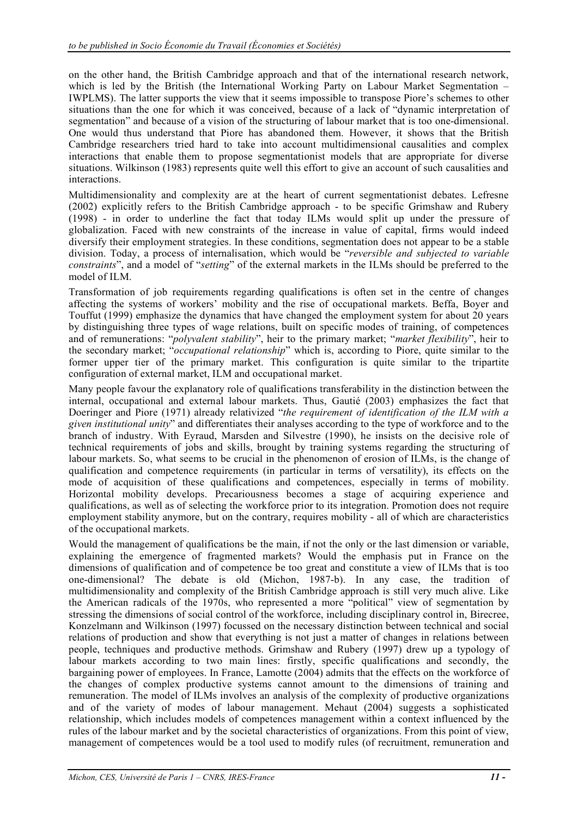on the other hand, the British Cambridge approach and that of the international research network, which is led by the British (the International Working Party on Labour Market Segmentation – IWPLMS). The latter supports the view that it seems impossible to transpose Piore's schemes to other situations than the one for which it was conceived, because of a lack of "dynamic interpretation of segmentation" and because of a vision of the structuring of labour market that is too one-dimensional. One would thus understand that Piore has abandoned them. However, it shows that the British Cambridge researchers tried hard to take into account multidimensional causalities and complex interactions that enable them to propose segmentationist models that are appropriate for diverse situations. Wilkinson (1983) represents quite well this effort to give an account of such causalities and interactions.

Multidimensionality and complexity are at the heart of current segmentationist debates. Lefresne (2002) explicitly refers to the British Cambridge approach - to be specific Grimshaw and Rubery (1998) - in order to underline the fact that today ILMs would split up under the pressure of globalization. Faced with new constraints of the increase in value of capital, firms would indeed diversify their employment strategies. In these conditions, segmentation does not appear to be a stable division. Today, a process of internalisation, which would be "*reversible and subjected to variable constraints*", and a model of "*setting*" of the external markets in the ILMs should be preferred to the model of ILM.

Transformation of job requirements regarding qualifications is often set in the centre of changes affecting the systems of workers' mobility and the rise of occupational markets. Beffa, Boyer and Touffut (1999) emphasize the dynamics that have changed the employment system for about 20 years by distinguishing three types of wage relations, built on specific modes of training, of competences and of remunerations: "*polyvalent stability*", heir to the primary market; "*market flexibility*", heir to the secondary market; "*occupational relationship*" which is, according to Piore, quite similar to the former upper tier of the primary market. This configuration is quite similar to the tripartite configuration of external market, ILM and occupational market.

Many people favour the explanatory role of qualifications transferability in the distinction between the internal, occupational and external labour markets. Thus, Gautié (2003) emphasizes the fact that Doeringer and Piore (1971) already relativized "*the requirement of identification of the ILM with a given institutional unity*" and differentiates their analyses according to the type of workforce and to the branch of industry. With Eyraud, Marsden and Silvestre (1990), he insists on the decisive role of technical requirements of jobs and skills, brought by training systems regarding the structuring of labour markets. So, what seems to be crucial in the phenomenon of erosion of ILMs, is the change of qualification and competence requirements (in particular in terms of versatility), its effects on the mode of acquisition of these qualifications and competences, especially in terms of mobility. Horizontal mobility develops. Precariousness becomes a stage of acquiring experience and qualifications, as well as of selecting the workforce prior to its integration. Promotion does not require employment stability anymore, but on the contrary, requires mobility - all of which are characteristics of the occupational markets.

Would the management of qualifications be the main, if not the only or the last dimension or variable, explaining the emergence of fragmented markets? Would the emphasis put in France on the dimensions of qualification and of competence be too great and constitute a view of ILMs that is too one-dimensional? The debate is old (Michon, 1987-b). In any case, the tradition of multidimensionality and complexity of the British Cambridge approach is still very much alive. Like the American radicals of the 1970s, who represented a more "political" view of segmentation by stressing the dimensions of social control of the workforce, including disciplinary control in, Birecree, Konzelmann and Wilkinson (1997) focussed on the necessary distinction between technical and social relations of production and show that everything is not just a matter of changes in relations between people, techniques and productive methods. Grimshaw and Rubery (1997) drew up a typology of labour markets according to two main lines: firstly, specific qualifications and secondly, the bargaining power of employees. In France, Lamotte (2004) admits that the effects on the workforce of the changes of complex productive systems cannot amount to the dimensions of training and remuneration. The model of ILMs involves an analysis of the complexity of productive organizations and of the variety of modes of labour management. Mehaut (2004) suggests a sophisticated relationship, which includes models of competences management within a context influenced by the rules of the labour market and by the societal characteristics of organizations. From this point of view, management of competences would be a tool used to modify rules (of recruitment, remuneration and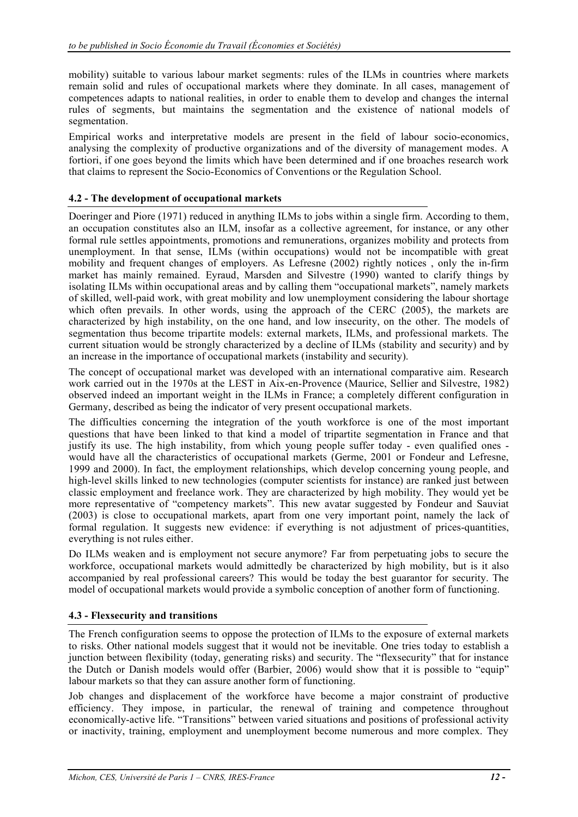mobility) suitable to various labour market segments: rules of the ILMs in countries where markets remain solid and rules of occupational markets where they dominate. In all cases, management of competences adapts to national realities, in order to enable them to develop and changes the internal rules of segments, but maintains the segmentation and the existence of national models of segmentation.

Empirical works and interpretative models are present in the field of labour socio-economics, analysing the complexity of productive organizations and of the diversity of management modes. A fortiori, if one goes beyond the limits which have been determined and if one broaches research work that claims to represent the Socio-Economics of Conventions or the Regulation School.

## **4.2 - The development of occupational markets**

Doeringer and Piore (1971) reduced in anything ILMs to jobs within a single firm. According to them, an occupation constitutes also an ILM, insofar as a collective agreement, for instance, or any other formal rule settles appointments, promotions and remunerations, organizes mobility and protects from unemployment. In that sense, ILMs (within occupations) would not be incompatible with great mobility and frequent changes of employers. As Lefresne (2002) rightly notices , only the in-firm market has mainly remained. Eyraud, Marsden and Silvestre (1990) wanted to clarify things by isolating ILMs within occupational areas and by calling them "occupational markets", namely markets of skilled, well-paid work, with great mobility and low unemployment considering the labour shortage which often prevails. In other words, using the approach of the CERC (2005), the markets are characterized by high instability, on the one hand, and low insecurity, on the other. The models of segmentation thus become tripartite models: external markets, ILMs, and professional markets. The current situation would be strongly characterized by a decline of ILMs (stability and security) and by an increase in the importance of occupational markets (instability and security).

The concept of occupational market was developed with an international comparative aim. Research work carried out in the 1970s at the LEST in Aix-en-Provence (Maurice, Sellier and Silvestre, 1982) observed indeed an important weight in the ILMs in France; a completely different configuration in Germany, described as being the indicator of very present occupational markets.

The difficulties concerning the integration of the youth workforce is one of the most important questions that have been linked to that kind a model of tripartite segmentation in France and that justify its use. The high instability, from which young people suffer today - even qualified ones would have all the characteristics of occupational markets (Germe, 2001 or Fondeur and Lefresne, 1999 and 2000). In fact, the employment relationships, which develop concerning young people, and high-level skills linked to new technologies (computer scientists for instance) are ranked just between classic employment and freelance work. They are characterized by high mobility. They would yet be more representative of "competency markets". This new avatar suggested by Fondeur and Sauviat (2003) is close to occupational markets, apart from one very important point, namely the lack of formal regulation. It suggests new evidence: if everything is not adjustment of prices-quantities, everything is not rules either.

Do ILMs weaken and is employment not secure anymore? Far from perpetuating jobs to secure the workforce, occupational markets would admittedly be characterized by high mobility, but is it also accompanied by real professional careers? This would be today the best guarantor for security. The model of occupational markets would provide a symbolic conception of another form of functioning.

## **4.3 - Flexsecurity and transitions**

The French configuration seems to oppose the protection of ILMs to the exposure of external markets to risks. Other national models suggest that it would not be inevitable. One tries today to establish a junction between flexibility (today, generating risks) and security. The "flexsecurity" that for instance the Dutch or Danish models would offer (Barbier, 2006) would show that it is possible to "equip" labour markets so that they can assure another form of functioning.

Job changes and displacement of the workforce have become a major constraint of productive efficiency. They impose, in particular, the renewal of training and competence throughout economically-active life. "Transitions" between varied situations and positions of professional activity or inactivity, training, employment and unemployment become numerous and more complex. They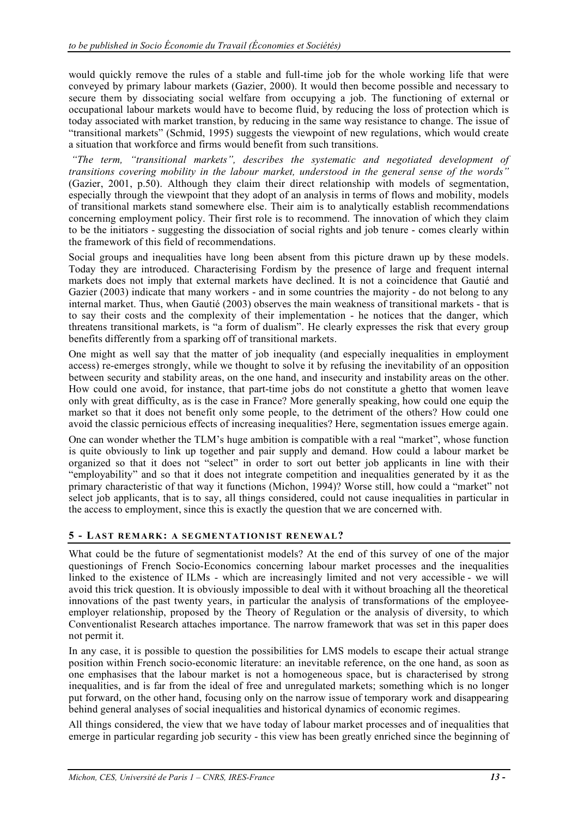would quickly remove the rules of a stable and full-time job for the whole working life that were conveyed by primary labour markets (Gazier, 2000). It would then become possible and necessary to secure them by dissociating social welfare from occupying a job. The functioning of external or occupational labour markets would have to become fluid, by reducing the loss of protection which is today associated with market transtion, by reducing in the same way resistance to change. The issue of "transitional markets" (Schmid, 1995) suggests the viewpoint of new regulations, which would create a situation that workforce and firms would benefit from such transitions.

 *"The term, "transitional markets", describes the systematic and negotiated development of transitions covering mobility in the labour market, understood in the general sense of the words"* (Gazier, 2001, p.50). Although they claim their direct relationship with models of segmentation, especially through the viewpoint that they adopt of an analysis in terms of flows and mobility, models of transitional markets stand somewhere else. Their aim is to analytically establish recommendations concerning employment policy. Their first role is to recommend. The innovation of which they claim to be the initiators - suggesting the dissociation of social rights and job tenure - comes clearly within the framework of this field of recommendations.

Social groups and inequalities have long been absent from this picture drawn up by these models. Today they are introduced. Characterising Fordism by the presence of large and frequent internal markets does not imply that external markets have declined. It is not a coincidence that Gautié and Gazier (2003) indicate that many workers - and in some countries the majority - do not belong to any internal market. Thus, when Gautié (2003) observes the main weakness of transitional markets - that is to say their costs and the complexity of their implementation - he notices that the danger, which threatens transitional markets, is "a form of dualism". He clearly expresses the risk that every group benefits differently from a sparking off of transitional markets.

One might as well say that the matter of job inequality (and especially inequalities in employment access) re-emerges strongly, while we thought to solve it by refusing the inevitability of an opposition between security and stability areas, on the one hand, and insecurity and instability areas on the other. How could one avoid, for instance, that part-time jobs do not constitute a ghetto that women leave only with great difficulty, as is the case in France? More generally speaking, how could one equip the market so that it does not benefit only some people, to the detriment of the others? How could one avoid the classic pernicious effects of increasing inequalities? Here, segmentation issues emerge again.

One can wonder whether the TLM's huge ambition is compatible with a real "market", whose function is quite obviously to link up together and pair supply and demand. How could a labour market be organized so that it does not "select" in order to sort out better job applicants in line with their "employability" and so that it does not integrate competition and inequalities generated by it as the primary characteristic of that way it functions (Michon, 1994)? Worse still, how could a "market" not select job applicants, that is to say, all things considered, could not cause inequalities in particular in the access to employment, since this is exactly the question that we are concerned with.

## **5 - LAST REM ARK: A SE GME NTAT ION IST RE NEWA L?**

What could be the future of segmentationist models? At the end of this survey of one of the major questionings of French Socio-Economics concerning labour market processes and the inequalities linked to the existence of ILMs - which are increasingly limited and not very accessible - we will avoid this trick question. It is obviously impossible to deal with it without broaching all the theoretical innovations of the past twenty years, in particular the analysis of transformations of the employeeemployer relationship, proposed by the Theory of Regulation or the analysis of diversity, to which Conventionalist Research attaches importance. The narrow framework that was set in this paper does not permit it.

In any case, it is possible to question the possibilities for LMS models to escape their actual strange position within French socio-economic literature: an inevitable reference, on the one hand, as soon as one emphasises that the labour market is not a homogeneous space, but is characterised by strong inequalities, and is far from the ideal of free and unregulated markets; something which is no longer put forward, on the other hand, focusing only on the narrow issue of temporary work and disappearing behind general analyses of social inequalities and historical dynamics of economic regimes.

All things considered, the view that we have today of labour market processes and of inequalities that emerge in particular regarding job security - this view has been greatly enriched since the beginning of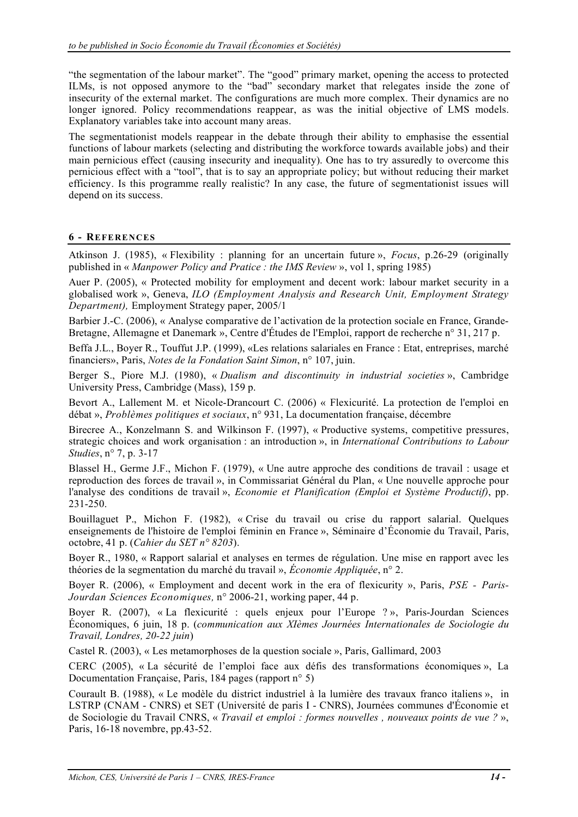"the segmentation of the labour market". The "good" primary market, opening the access to protected ILMs, is not opposed anymore to the "bad" secondary market that relegates inside the zone of insecurity of the external market. The configurations are much more complex. Their dynamics are no longer ignored. Policy recommendations reappear, as was the initial objective of LMS models. Explanatory variables take into account many areas.

The segmentationist models reappear in the debate through their ability to emphasise the essential functions of labour markets (selecting and distributing the workforce towards available jobs) and their main pernicious effect (causing insecurity and inequality). One has to try assuredly to overcome this pernicious effect with a "tool", that is to say an appropriate policy; but without reducing their market efficiency. Is this programme really realistic? In any case, the future of segmentationist issues will depend on its success.

#### **6 - REFE RENCES**

Atkinson J. (1985), « Flexibility : planning for an uncertain future », *Focus*, p.26-29 (originally published in « *Manpower Policy and Pratice : the IMS Review* », vol 1, spring 1985)

Auer P. (2005), « Protected mobility for employment and decent work: labour market security in a globalised work », Geneva, *ILO (Employment Analysis and Research Unit, Employment Strategy Department),* Employment Strategy paper, 2005/1

Barbier J.-C. (2006), « Analyse comparative de l'activation de la protection sociale en France, Grande-Bretagne, Allemagne et Danemark », Centre d'Études de l'Emploi, rapport de recherche n° 31, 217 p.

Beffa J.L., Boyer R., Touffut J.P. (1999), «Les relations salariales en France : Etat, entreprises, marché financiers», Paris, *Notes de la Fondation Saint Simon*, n° 107, juin.

Berger S., Piore M.J. (1980), « *Dualism and discontinuity in industrial societies* », Cambridge University Press, Cambridge (Mass), 159 p.

Bevort A., Lallement M. et Nicole-Drancourt C. (2006) « Flexicurité. La protection de l'emploi en débat », *Problèmes politiques et sociaux*, n° 931, La documentation française, décembre

Birecree A., Konzelmann S. and Wilkinson F. (1997), « Productive systems, competitive pressures, strategic choices and work organisation : an introduction », in *International Contributions to Labour Studies*, n° 7, p. 3-17

Blassel H., Germe J.F., Michon F. (1979), « Une autre approche des conditions de travail : usage et reproduction des forces de travail », in Commissariat Général du Plan, « Une nouvelle approche pour l'analyse des conditions de travail », *Economie et Planification (Emploi et Système Productif)*, pp. 231-250.

Bouillaguet P., Michon F. (1982), « Crise du travail ou crise du rapport salarial. Quelques enseignements de l'histoire de l'emploi féminin en France », Séminaire d'Économie du Travail, Paris, octobre, 41 p. (*Cahier du SET n° 8203*).

Boyer R., 1980, « Rapport salarial et analyses en termes de régulation. Une mise en rapport avec les théories de la segmentation du marché du travail », *Économie Appliquée*, n° 2.

Boyer R. (2006), « Employment and decent work in the era of flexicurity », Paris, *PSE - Paris-Jourdan Sciences Economiques,* n° 2006-21, working paper, 44 p.

Boyer R. (2007), « La flexicurité : quels enjeux pour l'Europe ? », Paris-Jourdan Sciences Économiques, 6 juin, 18 p. (*communication aux XIèmes Journées Internationales de Sociologie du Travail, Londres, 20-22 juin*)

Castel R. (2003), « Les metamorphoses de la question sociale », Paris, Gallimard, 2003

CERC (2005), « La sécurité de l'emploi face aux défis des transformations économiques », La Documentation Française, Paris, 184 pages (rapport n° 5)

Courault B. (1988), « Le modèle du district industriel à la lumière des travaux franco italiens », in LSTRP (CNAM - CNRS) et SET (Université de paris I - CNRS), Journées communes d'Économie et de Sociologie du Travail CNRS, « *Travail et emploi : formes nouvelles , nouveaux points de vue ?* », Paris, 16-18 novembre, pp.43-52.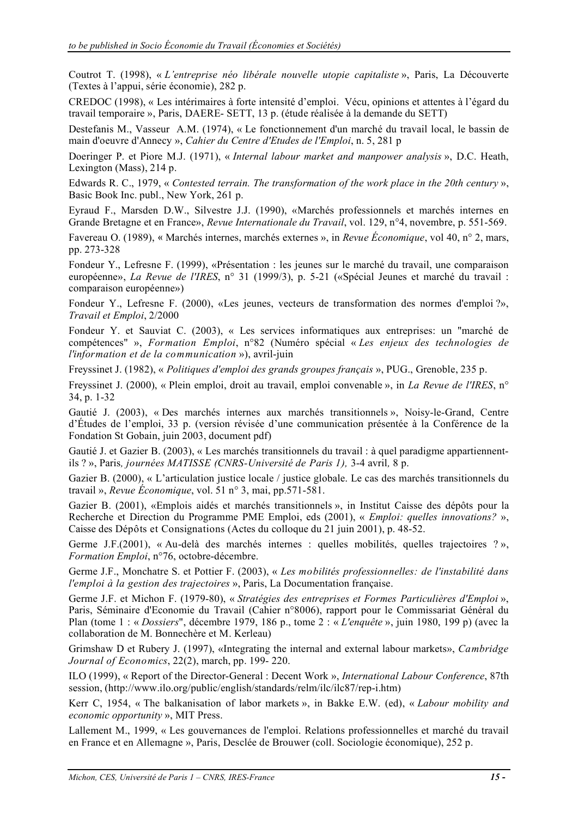Coutrot T. (1998), « *L'entreprise néo libérale nouvelle utopie capitaliste* », Paris, La Découverte (Textes à l'appui, série économie), 282 p.

CREDOC (1998), « Les intérimaires à forte intensité d'emploi. Vécu, opinions et attentes à l'égard du travail temporaire », Paris, DAERE- SETT, 13 p. (étude réalisée à la demande du SETT)

Destefanis M., Vasseur A.M. (1974), « Le fonctionnement d'un marché du travail local, le bassin de main d'oeuvre d'Annecy », *Cahier du Centre d'Etudes de l'Emploi*, n. 5, 281 p

Doeringer P. et Piore M.J. (1971), « *Internal labour market and manpower analysis* », D.C. Heath, Lexington (Mass), 214 p.

Edwards R. C., 1979, « *Contested terrain. The transformation of the work place in the 20th century* », Basic Book Inc. publ., New York, 261 p.

Eyraud F., Marsden D.W., Silvestre J.J. (1990), «Marchés professionnels et marchés internes en Grande Bretagne et en France», *Revue Internationale du Travail*, vol. 129, n°4, novembre, p. 551-569.

Favereau O. (1989), « Marchés internes, marchés externes », in *Revue Économique*, vol 40, n° 2, mars, pp. 273-328

Fondeur Y., Lefresne F. (1999), «Présentation : les jeunes sur le marché du travail, une comparaison européenne», *La Revue de l'IRES*, n° 31 (1999/3), p. 5-21 («Spécial Jeunes et marché du travail : comparaison européenne»)

Fondeur Y., Lefresne F. (2000), «Les jeunes, vecteurs de transformation des normes d'emploi ?», *Travail et Emploi*, 2/2000

Fondeur Y. et Sauviat C. (2003), « Les services informatiques aux entreprises: un "marché de compétences" », *Formation Emploi*, n°82 (Numéro spécial « *Les enjeux des technologies de l'information et de la communication* »), avril-juin

Freyssinet J. (1982), « *Politiques d'emploi des grands groupes français* », PUG., Grenoble, 235 p.

Freyssinet J. (2000), « Plein emploi, droit au travail, emploi convenable », in *La Revue de l'IRES*, n° 34, p. 1-32

Gautié J. (2003), « Des marchés internes aux marchés transitionnels », Noisy-le-Grand, Centre d'Études de l'emploi, 33 p. (version révisée d'une communication présentée à la Conférence de la Fondation St Gobain, juin 2003, document pdf)

Gautié J. et Gazier B. (2003), « Les marchés transitionnels du travail : à quel paradigme appartiennentils ? », Paris*, journées MATISSE (CNRS-Université de Paris 1),* 3-4 avril*,* 8 p.

Gazier B. (2000), « L'articulation justice locale / justice globale. Le cas des marchés transitionnels du travail », *Revue Économique*, vol. 51 n° 3, mai, pp.571-581.

Gazier B. (2001), «Emplois aidés et marchés transitionnels », in Institut Caisse des dépôts pour la Recherche et Direction du Programme PME Emploi, eds (2001), « *Emploi: quelles innovations?* », Caisse des Dépôts et Consignations (Actes du colloque du 21 juin 2001), p. 48-52.

Germe J.F.(2001), « Au-delà des marchés internes : quelles mobilités, quelles trajectoires ? », *Formation Emploi*, n°76, octobre-décembre.

Germe J.F., Monchatre S. et Pottier F. (2003), « *Les mobilités professionnelles: de l'instabilité dans l'emploi à la gestion des trajectoires* », Paris, La Documentation française.

Germe J.F. et Michon F. (1979-80), « *Stratégies des entreprises et Formes Particulières d'Emploi* », Paris, Séminaire d'Economie du Travail (Cahier n°8006), rapport pour le Commissariat Général du Plan (tome 1 : « *Dossiers*", décembre 1979, 186 p., tome 2 : « *L'enquête* », juin 1980, 199 p) (avec la collaboration de M. Bonnechère et M. Kerleau)

Grimshaw D et Rubery J. (1997), «Integrating the internal and external labour markets», *Cambridge Journal of Economics*, 22(2), march, pp. 199- 220.

ILO (1999), « Report of the Director-General : Decent Work », *International Labour Conference*, 87th session, (http://www.ilo.org/public/english/standards/relm/ilc/ilc87/rep-i.htm)

Kerr C, 1954, « The balkanisation of labor markets », in Bakke E.W. (ed), « *Labour mobility and economic opportunity* », MIT Press.

Lallement M., 1999, « Les gouvernances de l'emploi. Relations professionnelles et marché du travail en France et en Allemagne », Paris, Desclée de Brouwer (coll. Sociologie économique), 252 p.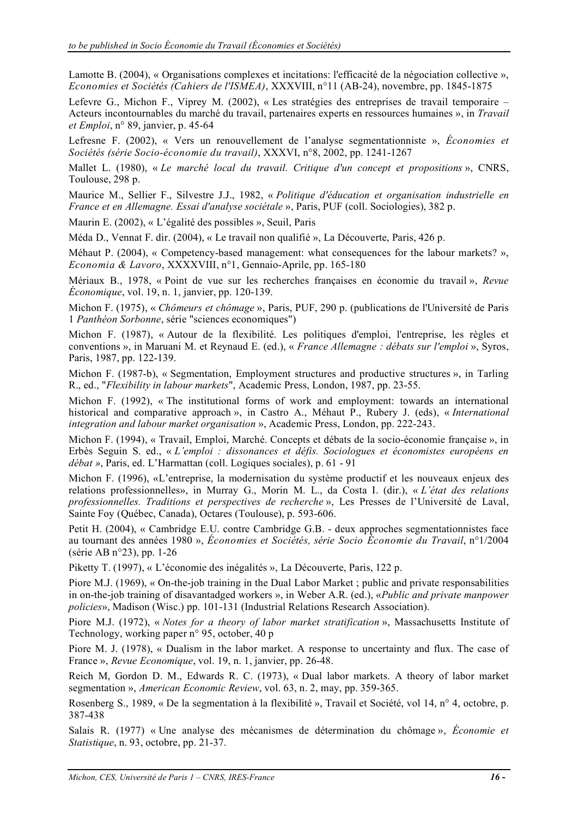Lamotte B. (2004), « Organisations complexes et incitations: l'efficacité de la négociation collective », *Economies et Sociétés (Cahiers de l'ISMEA)*, XXXVIII, n°11 (AB-24), novembre, pp. 1845-1875

Lefevre G., Michon F., Viprey M. (2002), « Les stratégies des entreprises de travail temporaire – Acteurs incontournables du marché du travail, partenaires experts en ressources humaines », in *Travail et Emploi*, n° 89, janvier, p. 45-64

Lefresne F. (2002), « Vers un renouvellement de l'analyse segmentationniste », *Économies et Sociétés (série Socio-économie du travail)*, XXXVI, n°8, 2002, pp. 1241-1267

Mallet L. (1980), « *Le marché local du travail. Critique d'un concept et propositions* », CNRS, Toulouse, 298 p.

Maurice M., Sellier F., Silvestre J.J., 1982, « *Politique d'éducation et organisation industrielle en France et en Allemagne. Essai d'analyse sociétale* », Paris, PUF (coll. Sociologies), 382 p.

Maurin E. (2002), « L'égalité des possibles », Seuil, Paris

Méda D., Vennat F. dir. (2004), « Le travail non qualifié », La Découverte, Paris, 426 p.

Méhaut P. (2004), « Competency-based management: what consequences for the labour markets? », *Economia & Lavoro*, XXXXVIII, n°1, Gennaio-Aprile, pp. 165-180

Mériaux B., 1978, « Point de vue sur les recherches françaises en économie du travail », *Revue Économique*, vol. 19, n. 1, janvier, pp. 120-139.

Michon F. (1975), « *Chômeurs et chômage* », Paris, PUF, 290 p. (publications de l'Université de Paris 1 *Panthéon Sorbonne*, série "sciences economiques")

Michon F. (1987), « Autour de la flexibilité. Les politiques d'emploi, l'entreprise, les règles et conventions », in Maruani M. et Reynaud E. (ed.), « *France Allemagne : débats sur l'emploi* », Syros, Paris, 1987, pp. 122-139.

Michon F. (1987-b), « Segmentation, Employment structures and productive structures », in Tarling R., ed., "*Flexibility in labour markets*", Academic Press, London, 1987, pp. 23-55.

Michon F. (1992), « The institutional forms of work and employment: towards an international historical and comparative approach », in Castro A., Méhaut P., Rubery J. (eds), « *International integration and labour market organisation* », Academic Press, London, pp. 222-243.

Michon F. (1994), « Travail, Emploi, Marché. Concepts et débats de la socio-économie française », in Erbès Seguin S. ed., « *L'emploi : dissonances et défis. Sociologues et économistes européens en débat »*, Paris, ed. L'Harmattan (coll. Logiques sociales), p. 61 - 91

Michon F. (1996), «L'entreprise, la modernisation du système productif et les nouveaux enjeux des relations professionnelles», in Murray G., Morin M. L., da Costa I. (dir.), « *L'état des relations professionnelles. Traditions et perspectives de recherche* », Les Presses de l'Université de Laval, Sainte Foy (Québec, Canada), Octares (Toulouse), p. 593-606.

Petit H. (2004), « Cambridge E.U. contre Cambridge G.B. - deux approches segmentationnistes face au tournant des années 1980 », *Économies et Sociétés, série Socio Économie du Travail*, n°1/2004 (série AB n°23), pp. 1-26

Piketty T. (1997), « L'économie des inégalités », La Découverte, Paris, 122 p.

Piore M.J. (1969), « On-the-job training in the Dual Labor Market ; public and private responsabilities in on-the-job training of disavantadged workers », in Weber A.R. (ed.), «*Public and private manpower policies*», Madison (Wisc.) pp. 101-131 (Industrial Relations Research Association).

Piore M.J. (1972), « *Notes for a theory of labor market stratification* », Massachusetts Institute of Technology, working paper n° 95, october, 40 p

Piore M. J. (1978), « Dualism in the labor market. A response to uncertainty and flux. The case of France », *Revue Economique*, vol. 19, n. 1, janvier, pp. 26-48.

Reich M, Gordon D. M., Edwards R. C. (1973), « Dual labor markets. A theory of labor market segmentation », *American Economic Review*, vol. 63, n. 2, may, pp. 359-365.

Rosenberg S., 1989, « De la segmentation à la flexibilité », Travail et Société, vol 14, n° 4, octobre, p. 387-438

Salais R. (1977) « Une analyse des mécanismes de détermination du chômage », *Économie et Statistique*, n. 93, octobre, pp. 21-37.